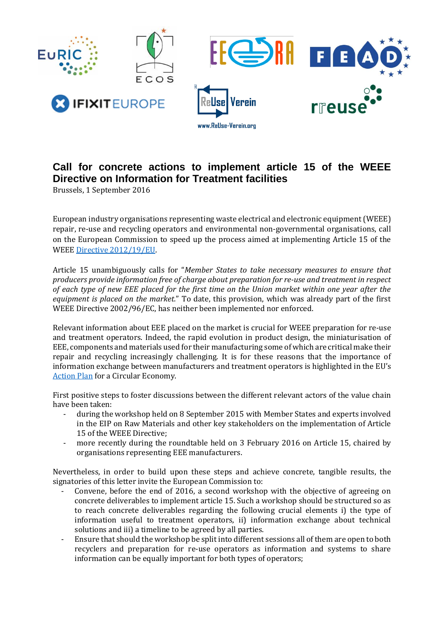

## **Call for concrete actions to implement article 15 of the WEEE Directive on Information for Treatment facilities**

Brussels, 1 September 2016

European industry organisations representing waste electrical and electronic equipment (WEEE) repair, re-use and recycling operators and environmental non-governmental organisations, call on the European Commission to speed up the process aimed at implementing Article 15 of the WEE[E Directive 2012/19/EU.](http://eur-lex.europa.eu/legal-content/EN/TXT/PDF/?uri=CELEX:32012L0019&from=EN)

Article 15 unambiguously calls for "*Member States to take necessary measures to ensure that producers provide information free of charge about preparation for re-use and treatment in respect of each type of new EEE placed for the first time on the Union market within one year after the equipment is placed on the market.*" To date, this provision, which was already part of the first WEEE Directive 2002/96/EC, has neither been implemented nor enforced.

Relevant information about EEE placed on the market is crucial for WEEE preparation for re-use and treatment operators. Indeed, the rapid evolution in product design, the miniaturisation of EEE, components and materials used for their manufacturing some of which are critical make their repair and recycling increasingly challenging. It is for these reasons that the importance of information exchange between manufacturers and treatment operators is highlighted in the EU's [Action Plan](http://eur-lex.europa.eu/legal-content/EN/TXT/?uri=CELEX:52015DC0614) for a Circular Economy.

First positive steps to foster discussions between the different relevant actors of the value chain have been taken:

- during the workshop held on 8 September 2015 with Member States and experts involved in the EIP on Raw Materials and other key stakeholders on the implementation of Article 15 of the WEEE Directive;
- more recently during the roundtable held on 3 February 2016 on Article 15, chaired by organisations representing EEE manufacturers.

Nevertheless, in order to build upon these steps and achieve concrete, tangible results, the signatories of this letter invite the European Commission to:

- Convene, before the end of 2016, a second workshop with the objective of agreeing on concrete deliverables to implement article 15. Such a workshop should be structured so as to reach concrete deliverables regarding the following crucial elements i) the type of information useful to treatment operators, ii) information exchange about technical solutions and iii) a timeline to be agreed by all parties.
- Ensure that should the workshop be split into different sessions all of them are open to both recyclers and preparation for re-use operators as information and systems to share information can be equally important for both types of operators;